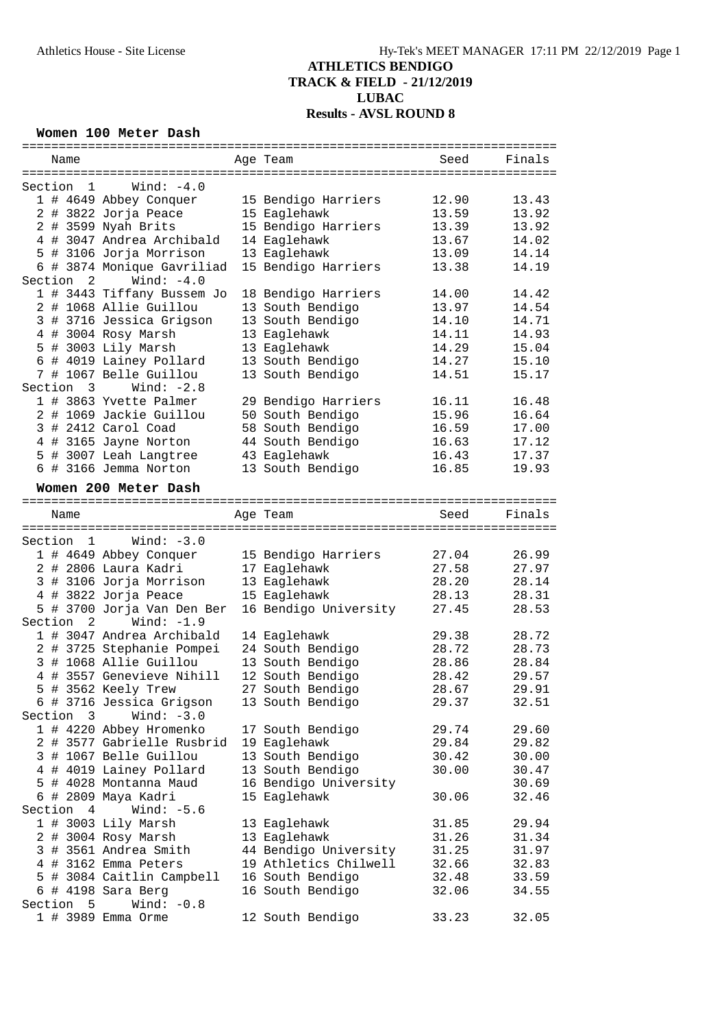#### **Women 100 Meter Dash**

| Name                                 | Age Team              | Seed  | Finals |
|--------------------------------------|-----------------------|-------|--------|
|                                      |                       |       |        |
| Wind: $-4.0$<br>Section 1            |                       |       |        |
| 1 # 4649 Abbey Conquer               | 15 Bendigo Harriers   | 12.90 | 13.43  |
| 2 # 3822 Jorja Peace                 | 15 Eaglehawk          | 13.59 | 13.92  |
| 2 # 3599 Nyah Brits                  | 15 Bendigo Harriers   | 13.39 | 13.92  |
| 4 # 3047 Andrea Archibald            |                       |       |        |
|                                      | 14 Eaglehawk          | 13.67 | 14.02  |
| 5 # 3106 Jorja Morrison              | 13 Eaglehawk          | 13.09 | 14.14  |
| 6 # 3874 Monique Gavriliad           | 15 Bendigo Harriers   | 13.38 | 14.19  |
| Section 2<br>$\texttt{Wind}: -4.0$   |                       |       |        |
| 1 # 3443 Tiffany Bussem Jo           | 18 Bendigo Harriers   | 14.00 | 14.42  |
| 2 # 1068 Allie Guillou               | 13 South Bendigo      | 13.97 | 14.54  |
| 3 # 3716 Jessica Grigson             | 13 South Bendigo      | 14.10 | 14.71  |
| 4 # 3004 Rosy Marsh                  | 13 Eaglehawk          | 14.11 | 14.93  |
| 5 # 3003 Lily Marsh                  | 13 Eaglehawk          | 14.29 | 15.04  |
| 6 # 4019 Lainey Pollard              | 13 South Bendigo      | 14.27 | 15.10  |
| 7 # 1067 Belle Guillou               | 13 South Bendigo      | 14.51 | 15.17  |
| Wind: $-2.8$<br>Section 3            |                       |       |        |
|                                      |                       |       |        |
| 1 # 3863 Yvette Palmer               | 29 Bendigo Harriers   | 16.11 | 16.48  |
| 2 # 1069 Jackie Guillou              | 50 South Bendigo      | 15.96 | 16.64  |
| 3 # 2412 Carol Coad                  | 58 South Bendigo      | 16.59 | 17.00  |
| 4 # 3165 Jayne Norton                | 44 South Bendigo      | 16.63 | 17.12  |
| 5 # 3007 Leah Langtree               | 43 Eaglehawk          | 16.43 | 17.37  |
| 6 # 3166 Jemma Norton                | 13 South Bendigo      | 16.85 | 19.93  |
|                                      |                       |       |        |
| Women 200 Meter Dash                 |                       |       |        |
|                                      |                       |       |        |
| Name                                 | Age Team              | Seed  | Finals |
|                                      |                       |       |        |
| Section $1$ Wind: $-3.0$             |                       |       |        |
| 1 # 4649 Abbey Conquer               | 15 Bendigo Harriers   | 27.04 | 26.99  |
| 2 # 2806 Laura Kadri                 | 17 Eaglehawk          | 27.58 | 27.97  |
| 3 # 3106 Jorja Morrison              | 13 Eaglehawk          | 28.20 | 28.14  |
| 4 # 3822 Jorja Peace                 | 15 Eaglehawk          | 28.13 | 28.31  |
| 5 # 3700 Jorja Van Den Ber           | 16 Bendigo University | 27.45 | 28.53  |
| Wind: $-1.9$<br>Section <sub>2</sub> |                       |       |        |
| 1 # 3047 Andrea Archibald            | 14 Eaglehawk          | 29.38 | 28.72  |
|                                      | 24 South Bendigo      | 28.72 | 28.73  |
| 2 # 3725 Stephanie Pompei            |                       |       |        |
| 3 # 1068 Allie Guillou               | 13 South Bendigo      | 28.86 | 28.84  |
| 4 # 3557 Genevieve Nihill            | 12 South Bendigo      | 28.42 | 29.57  |
| 5 # 3562 Keely Trew                  | 27 South Bendigo      | 28.67 | 29.91  |
| 6 # 3716 Jessica Grigson             | 13 South Bendigo      | 29.37 | 32.51  |
| Wind: $-3.0$<br>Section 3            |                       |       |        |
| 1 # 4220 Abbey Hromenko              | 17 South Bendigo      | 29.74 | 29.60  |
| 2 # 3577 Gabrielle Rusbrid           | 19 Eaglehawk          | 29.84 | 29.82  |
| 3 # 1067 Belle Guillou               | 13 South Bendigo      | 30.42 | 30.00  |
| 4 # 4019 Lainey Pollard              | 13 South Bendigo      | 30.00 | 30.47  |
| 5 # 4028 Montanna Maud               | 16 Bendigo University |       | 30.69  |
| 6 # 2809 Maya Kadri                  | 15 Eaglehawk          | 30.06 | 32.46  |
|                                      |                       |       |        |
| Section 4<br>Wind: $-5.6$            |                       |       |        |
| 1 # 3003 Lily Marsh                  | 13 Eaglehawk          | 31.85 | 29.94  |
| 2 # 3004 Rosy Marsh                  | 13 Eaglehawk          | 31.26 | 31.34  |
| 3 # 3561 Andrea Smith                | 44 Bendigo University | 31.25 | 31.97  |
| 4 # 3162 Emma Peters                 | 19 Athletics Chilwell | 32.66 | 32.83  |
| 5 # 3084 Caitlin Campbell            | 16 South Bendigo      | 32.48 | 33.59  |
|                                      |                       |       |        |
| $6$ # 4198 Sara Berg                 | 16 South Bendigo      | 32.06 | 34.55  |
| Section 5<br>Wind: $-0.8$            |                       |       |        |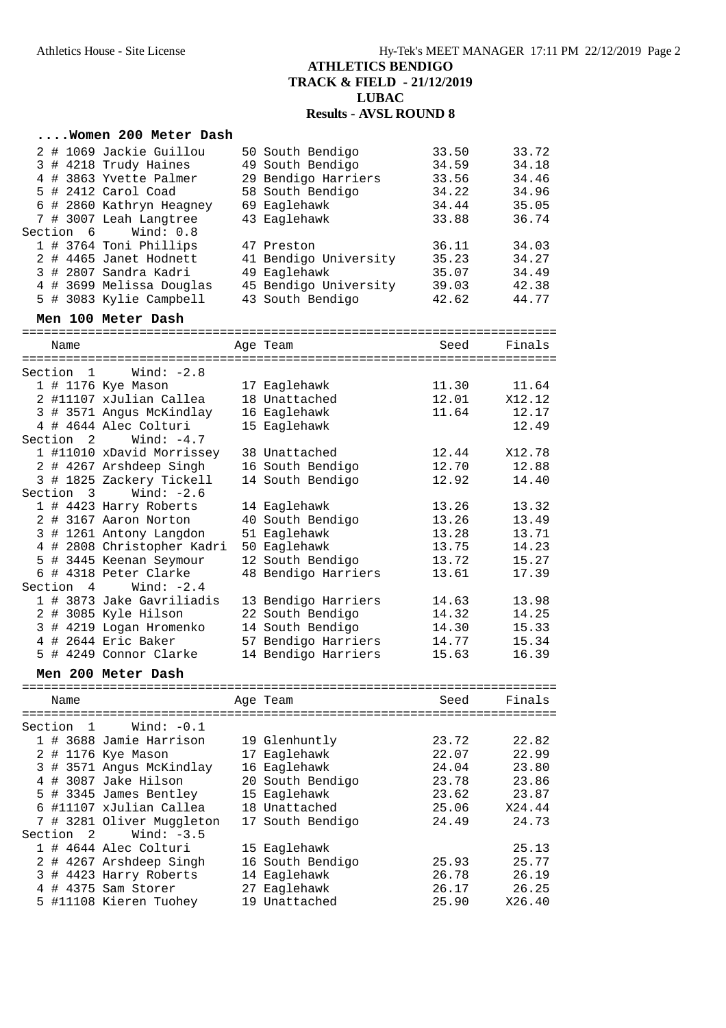#### **....Women 200 Meter Dash** 2 # 1069 Jackie Guillou 50 South Bendigo 33.50 33.72 3 # 4218 Trudy Haines 49 South Bendigo 34.59 34.18 4 # 3863 Yvette Palmer 29 Bendigo Harriers 33.56 34.46 5 # 2412 Carol Coad 58 South Bendigo 34.22 34.96 6 # 2860 Kathryn Heagney 69 Eaglehawk 34.44 35.05 7 # 3007 Leah Langtree 43 Eaglehawk 33.88 36.74 Section 6 Wind: 0.8 1 # 3764 Toni Phillips 47 Preston 36.11 34.03 2 # 4465 Janet Hodnett 41 Bendigo University 35.23 34.27 3 # 2807 Sandra Kadri 49 Eaglehawk 35.07 34.49 4 # 3699 Melissa Douglas 45 Bendigo University 39.03 42.38 5 # 3083 Kylie Campbell 43 South Bendigo 42.62 44.77 **Men 100 Meter Dash** ========================================================================= Name **Age Team** Seed Finals ========================================================================= Section 1 Wind: -2.8 1 # 1176 Kye Mason 17 Eaglehawk 11.30 11.64 2 #11107 xJulian Callea 18 Unattached 12.01 X12.12 3 # 3571 Angus McKindlay 16 Eaglehawk 11.64 12.17 4 # 4644 Alec Colturi 15 Eaglehawk 12.49 Section 2 Wind: -4.7 1 #11010 xDavid Morrissey 38 Unattached 12.44 X12.78 2 # 4267 Arshdeep Singh 16 South Bendigo 12.70 12.88 3 # 1825 Zackery Tickell 14 South Bendigo 12.92 14.40 Section 3 Wind: -2.6 1 # 4423 Harry Roberts 14 Eaglehawk 13.26 13.32 2 # 3167 Aaron Norton 40 South Bendigo 13.26 13.49 3 # 1261 Antony Langdon 51 Eaglehawk 13.28 13.71 4 # 2808 Christopher Kadri 50 Eaglehawk 13.75 14.23 5 # 3445 Keenan Seymour 12 South Bendigo 13.72 15.27 6 # 4318 Peter Clarke 48 Bendigo Harriers 13.61 17.39 Section 4 Wind: -2.4 1 # 3873 Jake Gavriliadis 13 Bendigo Harriers 14.63 13.98 2 # 3085 Kyle Hilson 22 South Bendigo 14.32 14.25 3 # 4219 Logan Hromenko 14 South Bendigo 14.30 15.33 4 # 2644 Eric Baker 57 Bendigo Harriers 14.77 15.34 5 # 4249 Connor Clarke 14 Bendigo Harriers 15.63 16.39 **Men 200 Meter Dash** ========================================================================= Name **Age Team** Age Team Seed Finals ========================================================================= Section 1 Wind: -0.1 1 # 3688 Jamie Harrison 19 Glenhuntly 23.72 22.82 2 # 1176 Kye Mason 17 Eaglehawk 22.07 22.99 3 # 3571 Angus McKindlay 16 Eaglehawk 24.04 23.80 4 # 3087 Jake Hilson 20 South Bendigo 23.78 23.86 5 # 3345 James Bentley 15 Eaglehawk 23.62 23.87 6 #11107 xJulian Callea 18 Unattached 25.06 X24.44 7 # 3281 Oliver Muggleton 17 South Bendigo 24.49 24.73 Section 2 Wind: -3.5 1 # 4644 Alec Colturi 15 Eaglehawk 25.13 2 # 4267 Arshdeep Singh 16 South Bendigo 25.93 25.77 3 # 4423 Harry Roberts 14 Eaglehawk 26.78 26.19 4 # 4375 Sam Storer 27 Eaglehawk 26.17 26.25 5 #11108 Kieren Tuohey 19 Unattached 25.90 X26.40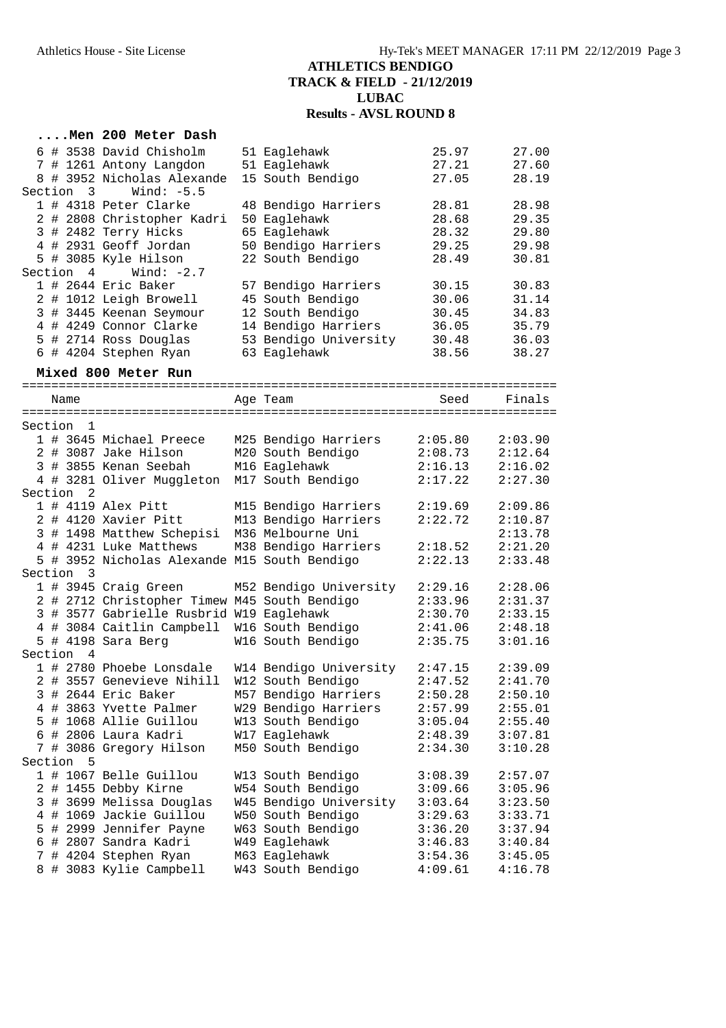|               | Men 200 Meter Dash                                    |                                              |                    |                    |
|---------------|-------------------------------------------------------|----------------------------------------------|--------------------|--------------------|
|               | 6 # 3538 David Chisholm                               | 51 Eaglehawk                                 | 25.97              | 27.00              |
|               | 7 # 1261 Antony Langdon                               | 51 Eaglehawk                                 | 27.21              | 27.60              |
|               | 8 # 3952 Nicholas Alexande                            | 15 South Bendigo                             | 27.05              | 28.19              |
| Section 3     | Wind: $-5.5$                                          |                                              |                    |                    |
|               | 1 # 4318 Peter Clarke                                 | 48 Bendigo Harriers                          | 28.81              | 28.98              |
|               | 2 # 2808 Christopher Kadri<br>3 # 2482 Terry Hicks    | 50 Eaglehawk<br>65 Eaglehawk                 | 28.68<br>28.32     | 29.35<br>29.80     |
|               | 4 # 2931 Geoff Jordan                                 | 50 Bendigo Harriers                          | 29.25              | 29.98              |
|               | 5 # 3085 Kyle Hilson                                  | 22 South Bendigo                             | 28.49              | 30.81              |
| Section 4     | Wind: -2.7                                            |                                              |                    |                    |
|               | 1 # 2644 Eric Baker                                   | 57 Bendigo Harriers                          | 30.15              | 30.83              |
|               | 2 # 1012 Leigh Browell                                | 45 South Bendigo                             | 30.06              | 31.14              |
|               | 3 # 3445 Keenan Seymour                               | 12 South Bendigo                             | 30.45              | 34.83              |
|               | 4 # 4249 Connor Clarke                                | 14 Bendigo Harriers                          | 36.05              | 35.79              |
|               | 5 # 2714 Ross Douglas                                 | 53 Bendigo University                        | 30.48              | 36.03              |
|               | 6 # 4204 Stephen Ryan                                 | 63 Eaglehawk                                 | 38.56              | 38.27              |
|               | Mixed 800 Meter Run                                   |                                              |                    |                    |
| Name          |                                                       | Age Team                                     | Seed               | Finals             |
|               |                                                       |                                              |                    |                    |
| Section 1     |                                                       |                                              |                    |                    |
|               | 1 # 3645 Michael Preece                               | M25 Bendigo Harriers                         | 2:05.80            | 2:03.90            |
|               | 2 # 3087 Jake Hilson                                  | M20 South Bendigo                            | 2:08.73            | 2:12.64            |
|               | 3 # 3855 Kenan Seebah                                 | M16 Eaglehawk                                | 2:16.13            | 2:16.02            |
|               | 4 # 3281 Oliver Muggleton                             | M17 South Bendigo                            | 2:17.22            | 2:27.30            |
| Section<br>2  |                                                       |                                              |                    |                    |
|               | 1 # 4119 Alex Pitt<br>2 # 4120 Xavier Pitt            | M15 Bendigo Harriers<br>M13 Bendigo Harriers | 2:19.69<br>2:22.72 | 2:09.86<br>2:10.87 |
|               | 3 # 1498 Matthew Schepisi                             | M36 Melbourne Uni                            |                    | 2:13.78            |
|               | 4 # 4231 Luke Matthews                                | M38 Bendigo Harriers                         | 2:18.52            | 2:21.20            |
|               | 5 # 3952 Nicholas Alexande M15 South Bendigo          |                                              | 2:22.13            | 2:33.48            |
| Section 3     |                                                       |                                              |                    |                    |
|               | 1 # 3945 Craig Green                                  | M52 Bendigo University                       | 2:29.16            | 2:28.06            |
|               | 2 # 2712 Christopher Timew M45 South Bendigo          |                                              | 2:33.96            | 2:31.37            |
|               | 3 # 3577 Gabrielle Rusbrid W19 Eaglehawk              |                                              | 2:30.70            | 2:33.15            |
|               | 4 # 3084 Caitlin Campbell W16 South Bendigo           |                                              | 2:41.06            | 2:48.18            |
|               | 5 # 4198 Sara Berg                                    | W16 South Bendigo                            | 2:35.75            | 3:01.16            |
| Section 4     |                                                       |                                              | 2:47.15            |                    |
|               | 1 # 2780 Phoebe Lonsdale<br>2 # 3557 Genevieve Nihill | W14 Bendigo University<br>W12 South Bendigo  | 2:47.52            | 2:39.09<br>2:41.70 |
|               | 3 # 2644 Eric Baker                                   | M57 Bendigo Harriers                         | 2:50.28            | 2:50.10            |
|               | 4 # 3863 Yvette Palmer                                | W29 Bendigo Harriers                         | 2:57.99            | 2:55.01            |
|               | 5 # 1068 Allie Guillou                                | W13 South Bendigo                            | 3:05.04            | 2:55.40            |
|               | 6 # 2806 Laura Kadri                                  | W17 Eaglehawk                                | 2:48.39            | 3:07.81            |
| 7             | # 3086 Gregory Hilson                                 | M50 South Bendigo                            | 2:34.30            | 3:10.28            |
| Section<br>-5 |                                                       |                                              |                    |                    |
|               | 1 # 1067 Belle Guillou                                | W13 South Bendigo                            | 3:08.39            | 2:57.07            |
| 2             | # 1455 Debby Kirne                                    | W54 South Bendigo                            | 3:09.66            | 3:05.96            |
| 3             | # 3699 Melissa Douglas                                | W45 Bendigo University                       | 3:03.64            | 3:23.50            |
| 4             | # 1069 Jackie Guillou                                 | W50 South Bendigo                            | 3:29.63            | 3:33.71            |
| 5             | # 2999 Jennifer Payne                                 | W63 South Bendigo                            | 3:36.20            | 3:37.94            |
|               | 6 # 2807 Sandra Kadri<br>7 # 4204 Stephen Ryan        | W49 Eaglehawk<br>M63 Eaglehawk               | 3:46.83<br>3:54.36 | 3:40.84<br>3:45.05 |
|               | 8 # 3083 Kylie Campbell                               | W43 South Bendigo                            | 4:09.61            | 4:16.78            |
|               |                                                       |                                              |                    |                    |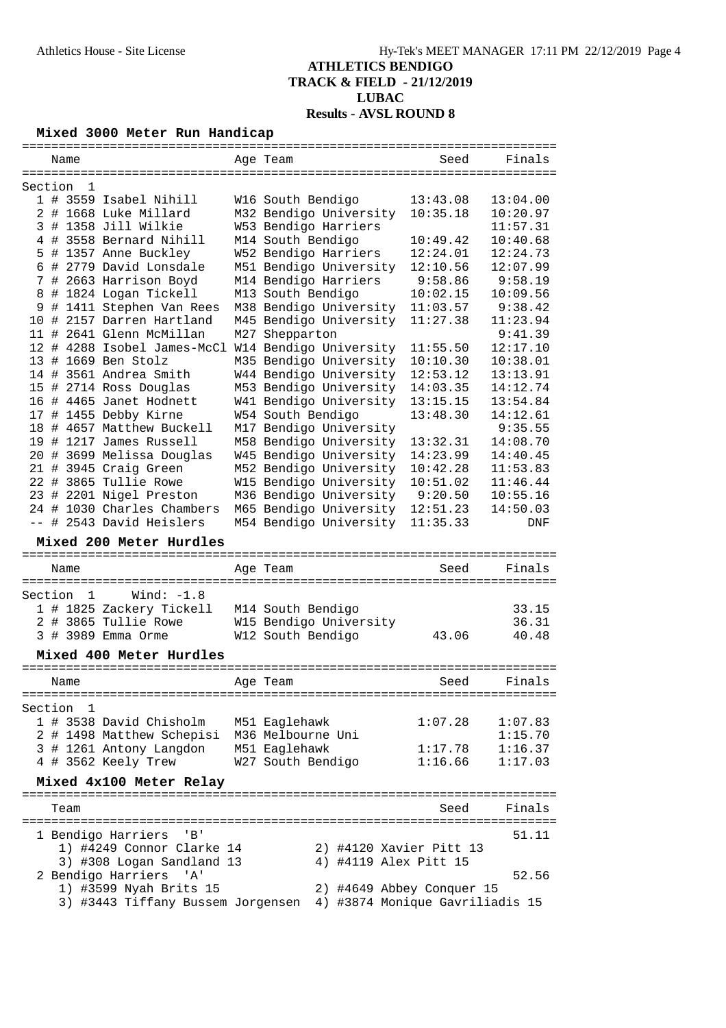# **Mixed 3000 Meter Run Handicap**

| Finals<br>Name<br>Age Team<br>Seed<br>=====================================<br>====================================<br>Section<br>$\mathbf 1$<br>1 # 3559 Isabel Nihill<br>13:43.08<br>13:04.00<br>W16 South Bendigo<br># 1668 Luke Millard<br>M32 Bendigo University<br>10:35.18<br>10:20.97<br>2<br># 1358 Jill Wilkie<br>W53 Bendigo Harriers<br>3<br>11:57.31<br># 3558 Bernard Nihill<br>10:40.68<br>M14 South Bendigo<br>10:49.42<br>4<br>W52 Bendigo Harriers<br># 1357 Anne Buckley<br>12:24.01<br>12:24.73<br>5.<br># 2779 David Lonsdale<br>6<br>M51 Bendigo University<br>12:10.56<br>12:07.99<br>M14 Bendigo Harriers<br>9:58.86<br>9:58.19<br>7<br># 2663 Harrison Boyd<br># 1824 Logan Tickell<br>M13 South Bendigo<br>10:02.15<br>10:09.56<br>8<br># 1411 Stephen Van Rees<br>M38 Bendigo University<br>11:03.57<br>9:38.42<br>9<br># 2157 Darren Hartland<br>M45 Bendigo University<br>11:27.38<br>11:23.94<br>10<br>11 # 2641 Glenn McMillan<br>M27 Shepparton<br>9:41.39<br>12 # 4288 Isobel James-McCl<br>W14 Bendigo University<br>11:55.50<br>12:17.10<br># 1669 Ben Stolz<br>M35 Bendigo University<br>10:10.30<br>10:38.01<br>13<br>14 # 3561 Andrea Smith<br>W44 Bendigo University<br>12:53.12<br>13:13.91<br># 2714 Ross Douglas<br>M53 Bendigo University<br>14:03.35<br>14:12.74<br>15<br>16 # 4465 Janet Hodnett<br>W41 Bendigo University<br>13:15.15<br>13:54.84<br>W54 South Bendigo<br>13:48.30<br>17 # 1455 Debby Kirne<br>14:12.61<br>18 # 4657 Matthew Buckell<br>M17 Bendigo University<br>9:35.55<br>19 # 1217 James Russell<br>M58 Bendigo University<br>13:32.31<br>14:08.70<br>20 # 3699 Melissa Douglas<br>W45 Bendigo University<br>14:23.99<br>14:40.45<br>21 # 3945 Craig Green<br>M52 Bendigo University<br>10:42.28<br>11:53.83<br>22 # 3865 Tullie Rowe<br>W15 Bendigo University<br>10:51.02<br>11:46.44<br>23 # 2201 Nigel Preston<br>M36 Bendigo University<br>9:20.50<br>10:55.16<br>24 # 1030 Charles Chambers<br>M65 Bendigo University<br>12:51.23<br>14:50.03<br>-- # 2543 David Heislers<br>M54 Bendigo University<br>11:35.33<br><b>DNF</b><br>Mixed 200 Meter Hurdles<br>Seed<br>Finals<br>Name<br>Age Team<br>Section<br>Wind: $-1.8$<br>1<br>1 # 1825 Zackery Tickell<br>M14 South Bendigo<br>33.15<br>2 # 3865 Tullie Rowe<br>W15 Bendigo University<br>36.31<br>3 # 3989 Emma Orme<br>W12 South Bendigo<br>43.06<br>40.48<br>Mixed 400 Meter Hurdles<br>==========<br>Finals<br>Age Team<br>Seed<br>Name<br>Section<br>1<br>1 # 3538 David Chisholm<br>M51 Eaglehawk<br>1:07.28<br>1:07.83<br>M36 Melbourne Uni<br>2 # 1498 Matthew Schepisi<br>1:15.70<br>3 # 1261 Antony Langdon<br>M51 Eaglehawk<br>1:17.78<br>1:16.37<br>4 # 3562 Keely Trew<br>W27 South Bendigo<br>1:16.66<br>1:17.03<br>Mixed 4x100 Meter Relay<br>-------------------------------------<br>Finals<br>Team<br>Seed<br>1 Bendigo Harriers<br>51.11<br>'B'<br>1) #4249 Connor Clarke 14<br>2) #4120 Xavier Pitt 13<br>4) #4119 Alex Pitt 15<br>3) #308 Logan Sandland 13<br>2 Bendigo Harriers<br>52.56<br>'A'<br>1) #3599 Nyah Brits 15<br>2) #4649 Abbey Conquer 15 |  |  |  |  |
|-----------------------------------------------------------------------------------------------------------------------------------------------------------------------------------------------------------------------------------------------------------------------------------------------------------------------------------------------------------------------------------------------------------------------------------------------------------------------------------------------------------------------------------------------------------------------------------------------------------------------------------------------------------------------------------------------------------------------------------------------------------------------------------------------------------------------------------------------------------------------------------------------------------------------------------------------------------------------------------------------------------------------------------------------------------------------------------------------------------------------------------------------------------------------------------------------------------------------------------------------------------------------------------------------------------------------------------------------------------------------------------------------------------------------------------------------------------------------------------------------------------------------------------------------------------------------------------------------------------------------------------------------------------------------------------------------------------------------------------------------------------------------------------------------------------------------------------------------------------------------------------------------------------------------------------------------------------------------------------------------------------------------------------------------------------------------------------------------------------------------------------------------------------------------------------------------------------------------------------------------------------------------------------------------------------------------------------------------------------------------------------------------------------------------------------------------------------------------------------------------------------------------------------------------------------------------------------------------------------------------------------------------------------------------------------------------------------------------------------------------------------------------------------------------------------------------------------------------------------------------------------------------------------------------------------------------------------------------------------------------------------------------------------------------------------------------------------------------------------|--|--|--|--|
|                                                                                                                                                                                                                                                                                                                                                                                                                                                                                                                                                                                                                                                                                                                                                                                                                                                                                                                                                                                                                                                                                                                                                                                                                                                                                                                                                                                                                                                                                                                                                                                                                                                                                                                                                                                                                                                                                                                                                                                                                                                                                                                                                                                                                                                                                                                                                                                                                                                                                                                                                                                                                                                                                                                                                                                                                                                                                                                                                                                                                                                                                                           |  |  |  |  |
|                                                                                                                                                                                                                                                                                                                                                                                                                                                                                                                                                                                                                                                                                                                                                                                                                                                                                                                                                                                                                                                                                                                                                                                                                                                                                                                                                                                                                                                                                                                                                                                                                                                                                                                                                                                                                                                                                                                                                                                                                                                                                                                                                                                                                                                                                                                                                                                                                                                                                                                                                                                                                                                                                                                                                                                                                                                                                                                                                                                                                                                                                                           |  |  |  |  |
|                                                                                                                                                                                                                                                                                                                                                                                                                                                                                                                                                                                                                                                                                                                                                                                                                                                                                                                                                                                                                                                                                                                                                                                                                                                                                                                                                                                                                                                                                                                                                                                                                                                                                                                                                                                                                                                                                                                                                                                                                                                                                                                                                                                                                                                                                                                                                                                                                                                                                                                                                                                                                                                                                                                                                                                                                                                                                                                                                                                                                                                                                                           |  |  |  |  |
|                                                                                                                                                                                                                                                                                                                                                                                                                                                                                                                                                                                                                                                                                                                                                                                                                                                                                                                                                                                                                                                                                                                                                                                                                                                                                                                                                                                                                                                                                                                                                                                                                                                                                                                                                                                                                                                                                                                                                                                                                                                                                                                                                                                                                                                                                                                                                                                                                                                                                                                                                                                                                                                                                                                                                                                                                                                                                                                                                                                                                                                                                                           |  |  |  |  |
|                                                                                                                                                                                                                                                                                                                                                                                                                                                                                                                                                                                                                                                                                                                                                                                                                                                                                                                                                                                                                                                                                                                                                                                                                                                                                                                                                                                                                                                                                                                                                                                                                                                                                                                                                                                                                                                                                                                                                                                                                                                                                                                                                                                                                                                                                                                                                                                                                                                                                                                                                                                                                                                                                                                                                                                                                                                                                                                                                                                                                                                                                                           |  |  |  |  |
|                                                                                                                                                                                                                                                                                                                                                                                                                                                                                                                                                                                                                                                                                                                                                                                                                                                                                                                                                                                                                                                                                                                                                                                                                                                                                                                                                                                                                                                                                                                                                                                                                                                                                                                                                                                                                                                                                                                                                                                                                                                                                                                                                                                                                                                                                                                                                                                                                                                                                                                                                                                                                                                                                                                                                                                                                                                                                                                                                                                                                                                                                                           |  |  |  |  |
|                                                                                                                                                                                                                                                                                                                                                                                                                                                                                                                                                                                                                                                                                                                                                                                                                                                                                                                                                                                                                                                                                                                                                                                                                                                                                                                                                                                                                                                                                                                                                                                                                                                                                                                                                                                                                                                                                                                                                                                                                                                                                                                                                                                                                                                                                                                                                                                                                                                                                                                                                                                                                                                                                                                                                                                                                                                                                                                                                                                                                                                                                                           |  |  |  |  |
|                                                                                                                                                                                                                                                                                                                                                                                                                                                                                                                                                                                                                                                                                                                                                                                                                                                                                                                                                                                                                                                                                                                                                                                                                                                                                                                                                                                                                                                                                                                                                                                                                                                                                                                                                                                                                                                                                                                                                                                                                                                                                                                                                                                                                                                                                                                                                                                                                                                                                                                                                                                                                                                                                                                                                                                                                                                                                                                                                                                                                                                                                                           |  |  |  |  |
|                                                                                                                                                                                                                                                                                                                                                                                                                                                                                                                                                                                                                                                                                                                                                                                                                                                                                                                                                                                                                                                                                                                                                                                                                                                                                                                                                                                                                                                                                                                                                                                                                                                                                                                                                                                                                                                                                                                                                                                                                                                                                                                                                                                                                                                                                                                                                                                                                                                                                                                                                                                                                                                                                                                                                                                                                                                                                                                                                                                                                                                                                                           |  |  |  |  |
|                                                                                                                                                                                                                                                                                                                                                                                                                                                                                                                                                                                                                                                                                                                                                                                                                                                                                                                                                                                                                                                                                                                                                                                                                                                                                                                                                                                                                                                                                                                                                                                                                                                                                                                                                                                                                                                                                                                                                                                                                                                                                                                                                                                                                                                                                                                                                                                                                                                                                                                                                                                                                                                                                                                                                                                                                                                                                                                                                                                                                                                                                                           |  |  |  |  |
|                                                                                                                                                                                                                                                                                                                                                                                                                                                                                                                                                                                                                                                                                                                                                                                                                                                                                                                                                                                                                                                                                                                                                                                                                                                                                                                                                                                                                                                                                                                                                                                                                                                                                                                                                                                                                                                                                                                                                                                                                                                                                                                                                                                                                                                                                                                                                                                                                                                                                                                                                                                                                                                                                                                                                                                                                                                                                                                                                                                                                                                                                                           |  |  |  |  |
|                                                                                                                                                                                                                                                                                                                                                                                                                                                                                                                                                                                                                                                                                                                                                                                                                                                                                                                                                                                                                                                                                                                                                                                                                                                                                                                                                                                                                                                                                                                                                                                                                                                                                                                                                                                                                                                                                                                                                                                                                                                                                                                                                                                                                                                                                                                                                                                                                                                                                                                                                                                                                                                                                                                                                                                                                                                                                                                                                                                                                                                                                                           |  |  |  |  |
|                                                                                                                                                                                                                                                                                                                                                                                                                                                                                                                                                                                                                                                                                                                                                                                                                                                                                                                                                                                                                                                                                                                                                                                                                                                                                                                                                                                                                                                                                                                                                                                                                                                                                                                                                                                                                                                                                                                                                                                                                                                                                                                                                                                                                                                                                                                                                                                                                                                                                                                                                                                                                                                                                                                                                                                                                                                                                                                                                                                                                                                                                                           |  |  |  |  |
|                                                                                                                                                                                                                                                                                                                                                                                                                                                                                                                                                                                                                                                                                                                                                                                                                                                                                                                                                                                                                                                                                                                                                                                                                                                                                                                                                                                                                                                                                                                                                                                                                                                                                                                                                                                                                                                                                                                                                                                                                                                                                                                                                                                                                                                                                                                                                                                                                                                                                                                                                                                                                                                                                                                                                                                                                                                                                                                                                                                                                                                                                                           |  |  |  |  |
|                                                                                                                                                                                                                                                                                                                                                                                                                                                                                                                                                                                                                                                                                                                                                                                                                                                                                                                                                                                                                                                                                                                                                                                                                                                                                                                                                                                                                                                                                                                                                                                                                                                                                                                                                                                                                                                                                                                                                                                                                                                                                                                                                                                                                                                                                                                                                                                                                                                                                                                                                                                                                                                                                                                                                                                                                                                                                                                                                                                                                                                                                                           |  |  |  |  |
|                                                                                                                                                                                                                                                                                                                                                                                                                                                                                                                                                                                                                                                                                                                                                                                                                                                                                                                                                                                                                                                                                                                                                                                                                                                                                                                                                                                                                                                                                                                                                                                                                                                                                                                                                                                                                                                                                                                                                                                                                                                                                                                                                                                                                                                                                                                                                                                                                                                                                                                                                                                                                                                                                                                                                                                                                                                                                                                                                                                                                                                                                                           |  |  |  |  |
|                                                                                                                                                                                                                                                                                                                                                                                                                                                                                                                                                                                                                                                                                                                                                                                                                                                                                                                                                                                                                                                                                                                                                                                                                                                                                                                                                                                                                                                                                                                                                                                                                                                                                                                                                                                                                                                                                                                                                                                                                                                                                                                                                                                                                                                                                                                                                                                                                                                                                                                                                                                                                                                                                                                                                                                                                                                                                                                                                                                                                                                                                                           |  |  |  |  |
|                                                                                                                                                                                                                                                                                                                                                                                                                                                                                                                                                                                                                                                                                                                                                                                                                                                                                                                                                                                                                                                                                                                                                                                                                                                                                                                                                                                                                                                                                                                                                                                                                                                                                                                                                                                                                                                                                                                                                                                                                                                                                                                                                                                                                                                                                                                                                                                                                                                                                                                                                                                                                                                                                                                                                                                                                                                                                                                                                                                                                                                                                                           |  |  |  |  |
|                                                                                                                                                                                                                                                                                                                                                                                                                                                                                                                                                                                                                                                                                                                                                                                                                                                                                                                                                                                                                                                                                                                                                                                                                                                                                                                                                                                                                                                                                                                                                                                                                                                                                                                                                                                                                                                                                                                                                                                                                                                                                                                                                                                                                                                                                                                                                                                                                                                                                                                                                                                                                                                                                                                                                                                                                                                                                                                                                                                                                                                                                                           |  |  |  |  |
|                                                                                                                                                                                                                                                                                                                                                                                                                                                                                                                                                                                                                                                                                                                                                                                                                                                                                                                                                                                                                                                                                                                                                                                                                                                                                                                                                                                                                                                                                                                                                                                                                                                                                                                                                                                                                                                                                                                                                                                                                                                                                                                                                                                                                                                                                                                                                                                                                                                                                                                                                                                                                                                                                                                                                                                                                                                                                                                                                                                                                                                                                                           |  |  |  |  |
|                                                                                                                                                                                                                                                                                                                                                                                                                                                                                                                                                                                                                                                                                                                                                                                                                                                                                                                                                                                                                                                                                                                                                                                                                                                                                                                                                                                                                                                                                                                                                                                                                                                                                                                                                                                                                                                                                                                                                                                                                                                                                                                                                                                                                                                                                                                                                                                                                                                                                                                                                                                                                                                                                                                                                                                                                                                                                                                                                                                                                                                                                                           |  |  |  |  |
|                                                                                                                                                                                                                                                                                                                                                                                                                                                                                                                                                                                                                                                                                                                                                                                                                                                                                                                                                                                                                                                                                                                                                                                                                                                                                                                                                                                                                                                                                                                                                                                                                                                                                                                                                                                                                                                                                                                                                                                                                                                                                                                                                                                                                                                                                                                                                                                                                                                                                                                                                                                                                                                                                                                                                                                                                                                                                                                                                                                                                                                                                                           |  |  |  |  |
|                                                                                                                                                                                                                                                                                                                                                                                                                                                                                                                                                                                                                                                                                                                                                                                                                                                                                                                                                                                                                                                                                                                                                                                                                                                                                                                                                                                                                                                                                                                                                                                                                                                                                                                                                                                                                                                                                                                                                                                                                                                                                                                                                                                                                                                                                                                                                                                                                                                                                                                                                                                                                                                                                                                                                                                                                                                                                                                                                                                                                                                                                                           |  |  |  |  |
|                                                                                                                                                                                                                                                                                                                                                                                                                                                                                                                                                                                                                                                                                                                                                                                                                                                                                                                                                                                                                                                                                                                                                                                                                                                                                                                                                                                                                                                                                                                                                                                                                                                                                                                                                                                                                                                                                                                                                                                                                                                                                                                                                                                                                                                                                                                                                                                                                                                                                                                                                                                                                                                                                                                                                                                                                                                                                                                                                                                                                                                                                                           |  |  |  |  |
|                                                                                                                                                                                                                                                                                                                                                                                                                                                                                                                                                                                                                                                                                                                                                                                                                                                                                                                                                                                                                                                                                                                                                                                                                                                                                                                                                                                                                                                                                                                                                                                                                                                                                                                                                                                                                                                                                                                                                                                                                                                                                                                                                                                                                                                                                                                                                                                                                                                                                                                                                                                                                                                                                                                                                                                                                                                                                                                                                                                                                                                                                                           |  |  |  |  |
|                                                                                                                                                                                                                                                                                                                                                                                                                                                                                                                                                                                                                                                                                                                                                                                                                                                                                                                                                                                                                                                                                                                                                                                                                                                                                                                                                                                                                                                                                                                                                                                                                                                                                                                                                                                                                                                                                                                                                                                                                                                                                                                                                                                                                                                                                                                                                                                                                                                                                                                                                                                                                                                                                                                                                                                                                                                                                                                                                                                                                                                                                                           |  |  |  |  |
|                                                                                                                                                                                                                                                                                                                                                                                                                                                                                                                                                                                                                                                                                                                                                                                                                                                                                                                                                                                                                                                                                                                                                                                                                                                                                                                                                                                                                                                                                                                                                                                                                                                                                                                                                                                                                                                                                                                                                                                                                                                                                                                                                                                                                                                                                                                                                                                                                                                                                                                                                                                                                                                                                                                                                                                                                                                                                                                                                                                                                                                                                                           |  |  |  |  |
|                                                                                                                                                                                                                                                                                                                                                                                                                                                                                                                                                                                                                                                                                                                                                                                                                                                                                                                                                                                                                                                                                                                                                                                                                                                                                                                                                                                                                                                                                                                                                                                                                                                                                                                                                                                                                                                                                                                                                                                                                                                                                                                                                                                                                                                                                                                                                                                                                                                                                                                                                                                                                                                                                                                                                                                                                                                                                                                                                                                                                                                                                                           |  |  |  |  |
|                                                                                                                                                                                                                                                                                                                                                                                                                                                                                                                                                                                                                                                                                                                                                                                                                                                                                                                                                                                                                                                                                                                                                                                                                                                                                                                                                                                                                                                                                                                                                                                                                                                                                                                                                                                                                                                                                                                                                                                                                                                                                                                                                                                                                                                                                                                                                                                                                                                                                                                                                                                                                                                                                                                                                                                                                                                                                                                                                                                                                                                                                                           |  |  |  |  |
|                                                                                                                                                                                                                                                                                                                                                                                                                                                                                                                                                                                                                                                                                                                                                                                                                                                                                                                                                                                                                                                                                                                                                                                                                                                                                                                                                                                                                                                                                                                                                                                                                                                                                                                                                                                                                                                                                                                                                                                                                                                                                                                                                                                                                                                                                                                                                                                                                                                                                                                                                                                                                                                                                                                                                                                                                                                                                                                                                                                                                                                                                                           |  |  |  |  |
|                                                                                                                                                                                                                                                                                                                                                                                                                                                                                                                                                                                                                                                                                                                                                                                                                                                                                                                                                                                                                                                                                                                                                                                                                                                                                                                                                                                                                                                                                                                                                                                                                                                                                                                                                                                                                                                                                                                                                                                                                                                                                                                                                                                                                                                                                                                                                                                                                                                                                                                                                                                                                                                                                                                                                                                                                                                                                                                                                                                                                                                                                                           |  |  |  |  |
|                                                                                                                                                                                                                                                                                                                                                                                                                                                                                                                                                                                                                                                                                                                                                                                                                                                                                                                                                                                                                                                                                                                                                                                                                                                                                                                                                                                                                                                                                                                                                                                                                                                                                                                                                                                                                                                                                                                                                                                                                                                                                                                                                                                                                                                                                                                                                                                                                                                                                                                                                                                                                                                                                                                                                                                                                                                                                                                                                                                                                                                                                                           |  |  |  |  |
|                                                                                                                                                                                                                                                                                                                                                                                                                                                                                                                                                                                                                                                                                                                                                                                                                                                                                                                                                                                                                                                                                                                                                                                                                                                                                                                                                                                                                                                                                                                                                                                                                                                                                                                                                                                                                                                                                                                                                                                                                                                                                                                                                                                                                                                                                                                                                                                                                                                                                                                                                                                                                                                                                                                                                                                                                                                                                                                                                                                                                                                                                                           |  |  |  |  |
|                                                                                                                                                                                                                                                                                                                                                                                                                                                                                                                                                                                                                                                                                                                                                                                                                                                                                                                                                                                                                                                                                                                                                                                                                                                                                                                                                                                                                                                                                                                                                                                                                                                                                                                                                                                                                                                                                                                                                                                                                                                                                                                                                                                                                                                                                                                                                                                                                                                                                                                                                                                                                                                                                                                                                                                                                                                                                                                                                                                                                                                                                                           |  |  |  |  |
|                                                                                                                                                                                                                                                                                                                                                                                                                                                                                                                                                                                                                                                                                                                                                                                                                                                                                                                                                                                                                                                                                                                                                                                                                                                                                                                                                                                                                                                                                                                                                                                                                                                                                                                                                                                                                                                                                                                                                                                                                                                                                                                                                                                                                                                                                                                                                                                                                                                                                                                                                                                                                                                                                                                                                                                                                                                                                                                                                                                                                                                                                                           |  |  |  |  |
|                                                                                                                                                                                                                                                                                                                                                                                                                                                                                                                                                                                                                                                                                                                                                                                                                                                                                                                                                                                                                                                                                                                                                                                                                                                                                                                                                                                                                                                                                                                                                                                                                                                                                                                                                                                                                                                                                                                                                                                                                                                                                                                                                                                                                                                                                                                                                                                                                                                                                                                                                                                                                                                                                                                                                                                                                                                                                                                                                                                                                                                                                                           |  |  |  |  |
|                                                                                                                                                                                                                                                                                                                                                                                                                                                                                                                                                                                                                                                                                                                                                                                                                                                                                                                                                                                                                                                                                                                                                                                                                                                                                                                                                                                                                                                                                                                                                                                                                                                                                                                                                                                                                                                                                                                                                                                                                                                                                                                                                                                                                                                                                                                                                                                                                                                                                                                                                                                                                                                                                                                                                                                                                                                                                                                                                                                                                                                                                                           |  |  |  |  |
|                                                                                                                                                                                                                                                                                                                                                                                                                                                                                                                                                                                                                                                                                                                                                                                                                                                                                                                                                                                                                                                                                                                                                                                                                                                                                                                                                                                                                                                                                                                                                                                                                                                                                                                                                                                                                                                                                                                                                                                                                                                                                                                                                                                                                                                                                                                                                                                                                                                                                                                                                                                                                                                                                                                                                                                                                                                                                                                                                                                                                                                                                                           |  |  |  |  |
|                                                                                                                                                                                                                                                                                                                                                                                                                                                                                                                                                                                                                                                                                                                                                                                                                                                                                                                                                                                                                                                                                                                                                                                                                                                                                                                                                                                                                                                                                                                                                                                                                                                                                                                                                                                                                                                                                                                                                                                                                                                                                                                                                                                                                                                                                                                                                                                                                                                                                                                                                                                                                                                                                                                                                                                                                                                                                                                                                                                                                                                                                                           |  |  |  |  |
|                                                                                                                                                                                                                                                                                                                                                                                                                                                                                                                                                                                                                                                                                                                                                                                                                                                                                                                                                                                                                                                                                                                                                                                                                                                                                                                                                                                                                                                                                                                                                                                                                                                                                                                                                                                                                                                                                                                                                                                                                                                                                                                                                                                                                                                                                                                                                                                                                                                                                                                                                                                                                                                                                                                                                                                                                                                                                                                                                                                                                                                                                                           |  |  |  |  |
|                                                                                                                                                                                                                                                                                                                                                                                                                                                                                                                                                                                                                                                                                                                                                                                                                                                                                                                                                                                                                                                                                                                                                                                                                                                                                                                                                                                                                                                                                                                                                                                                                                                                                                                                                                                                                                                                                                                                                                                                                                                                                                                                                                                                                                                                                                                                                                                                                                                                                                                                                                                                                                                                                                                                                                                                                                                                                                                                                                                                                                                                                                           |  |  |  |  |
|                                                                                                                                                                                                                                                                                                                                                                                                                                                                                                                                                                                                                                                                                                                                                                                                                                                                                                                                                                                                                                                                                                                                                                                                                                                                                                                                                                                                                                                                                                                                                                                                                                                                                                                                                                                                                                                                                                                                                                                                                                                                                                                                                                                                                                                                                                                                                                                                                                                                                                                                                                                                                                                                                                                                                                                                                                                                                                                                                                                                                                                                                                           |  |  |  |  |
|                                                                                                                                                                                                                                                                                                                                                                                                                                                                                                                                                                                                                                                                                                                                                                                                                                                                                                                                                                                                                                                                                                                                                                                                                                                                                                                                                                                                                                                                                                                                                                                                                                                                                                                                                                                                                                                                                                                                                                                                                                                                                                                                                                                                                                                                                                                                                                                                                                                                                                                                                                                                                                                                                                                                                                                                                                                                                                                                                                                                                                                                                                           |  |  |  |  |
|                                                                                                                                                                                                                                                                                                                                                                                                                                                                                                                                                                                                                                                                                                                                                                                                                                                                                                                                                                                                                                                                                                                                                                                                                                                                                                                                                                                                                                                                                                                                                                                                                                                                                                                                                                                                                                                                                                                                                                                                                                                                                                                                                                                                                                                                                                                                                                                                                                                                                                                                                                                                                                                                                                                                                                                                                                                                                                                                                                                                                                                                                                           |  |  |  |  |
|                                                                                                                                                                                                                                                                                                                                                                                                                                                                                                                                                                                                                                                                                                                                                                                                                                                                                                                                                                                                                                                                                                                                                                                                                                                                                                                                                                                                                                                                                                                                                                                                                                                                                                                                                                                                                                                                                                                                                                                                                                                                                                                                                                                                                                                                                                                                                                                                                                                                                                                                                                                                                                                                                                                                                                                                                                                                                                                                                                                                                                                                                                           |  |  |  |  |
|                                                                                                                                                                                                                                                                                                                                                                                                                                                                                                                                                                                                                                                                                                                                                                                                                                                                                                                                                                                                                                                                                                                                                                                                                                                                                                                                                                                                                                                                                                                                                                                                                                                                                                                                                                                                                                                                                                                                                                                                                                                                                                                                                                                                                                                                                                                                                                                                                                                                                                                                                                                                                                                                                                                                                                                                                                                                                                                                                                                                                                                                                                           |  |  |  |  |
|                                                                                                                                                                                                                                                                                                                                                                                                                                                                                                                                                                                                                                                                                                                                                                                                                                                                                                                                                                                                                                                                                                                                                                                                                                                                                                                                                                                                                                                                                                                                                                                                                                                                                                                                                                                                                                                                                                                                                                                                                                                                                                                                                                                                                                                                                                                                                                                                                                                                                                                                                                                                                                                                                                                                                                                                                                                                                                                                                                                                                                                                                                           |  |  |  |  |
|                                                                                                                                                                                                                                                                                                                                                                                                                                                                                                                                                                                                                                                                                                                                                                                                                                                                                                                                                                                                                                                                                                                                                                                                                                                                                                                                                                                                                                                                                                                                                                                                                                                                                                                                                                                                                                                                                                                                                                                                                                                                                                                                                                                                                                                                                                                                                                                                                                                                                                                                                                                                                                                                                                                                                                                                                                                                                                                                                                                                                                                                                                           |  |  |  |  |
|                                                                                                                                                                                                                                                                                                                                                                                                                                                                                                                                                                                                                                                                                                                                                                                                                                                                                                                                                                                                                                                                                                                                                                                                                                                                                                                                                                                                                                                                                                                                                                                                                                                                                                                                                                                                                                                                                                                                                                                                                                                                                                                                                                                                                                                                                                                                                                                                                                                                                                                                                                                                                                                                                                                                                                                                                                                                                                                                                                                                                                                                                                           |  |  |  |  |
|                                                                                                                                                                                                                                                                                                                                                                                                                                                                                                                                                                                                                                                                                                                                                                                                                                                                                                                                                                                                                                                                                                                                                                                                                                                                                                                                                                                                                                                                                                                                                                                                                                                                                                                                                                                                                                                                                                                                                                                                                                                                                                                                                                                                                                                                                                                                                                                                                                                                                                                                                                                                                                                                                                                                                                                                                                                                                                                                                                                                                                                                                                           |  |  |  |  |
|                                                                                                                                                                                                                                                                                                                                                                                                                                                                                                                                                                                                                                                                                                                                                                                                                                                                                                                                                                                                                                                                                                                                                                                                                                                                                                                                                                                                                                                                                                                                                                                                                                                                                                                                                                                                                                                                                                                                                                                                                                                                                                                                                                                                                                                                                                                                                                                                                                                                                                                                                                                                                                                                                                                                                                                                                                                                                                                                                                                                                                                                                                           |  |  |  |  |
|                                                                                                                                                                                                                                                                                                                                                                                                                                                                                                                                                                                                                                                                                                                                                                                                                                                                                                                                                                                                                                                                                                                                                                                                                                                                                                                                                                                                                                                                                                                                                                                                                                                                                                                                                                                                                                                                                                                                                                                                                                                                                                                                                                                                                                                                                                                                                                                                                                                                                                                                                                                                                                                                                                                                                                                                                                                                                                                                                                                                                                                                                                           |  |  |  |  |
|                                                                                                                                                                                                                                                                                                                                                                                                                                                                                                                                                                                                                                                                                                                                                                                                                                                                                                                                                                                                                                                                                                                                                                                                                                                                                                                                                                                                                                                                                                                                                                                                                                                                                                                                                                                                                                                                                                                                                                                                                                                                                                                                                                                                                                                                                                                                                                                                                                                                                                                                                                                                                                                                                                                                                                                                                                                                                                                                                                                                                                                                                                           |  |  |  |  |
|                                                                                                                                                                                                                                                                                                                                                                                                                                                                                                                                                                                                                                                                                                                                                                                                                                                                                                                                                                                                                                                                                                                                                                                                                                                                                                                                                                                                                                                                                                                                                                                                                                                                                                                                                                                                                                                                                                                                                                                                                                                                                                                                                                                                                                                                                                                                                                                                                                                                                                                                                                                                                                                                                                                                                                                                                                                                                                                                                                                                                                                                                                           |  |  |  |  |
| 3) #3443 Tiffany Bussem Jorgensen 4) #3874 Monique Gavriliadis 15                                                                                                                                                                                                                                                                                                                                                                                                                                                                                                                                                                                                                                                                                                                                                                                                                                                                                                                                                                                                                                                                                                                                                                                                                                                                                                                                                                                                                                                                                                                                                                                                                                                                                                                                                                                                                                                                                                                                                                                                                                                                                                                                                                                                                                                                                                                                                                                                                                                                                                                                                                                                                                                                                                                                                                                                                                                                                                                                                                                                                                         |  |  |  |  |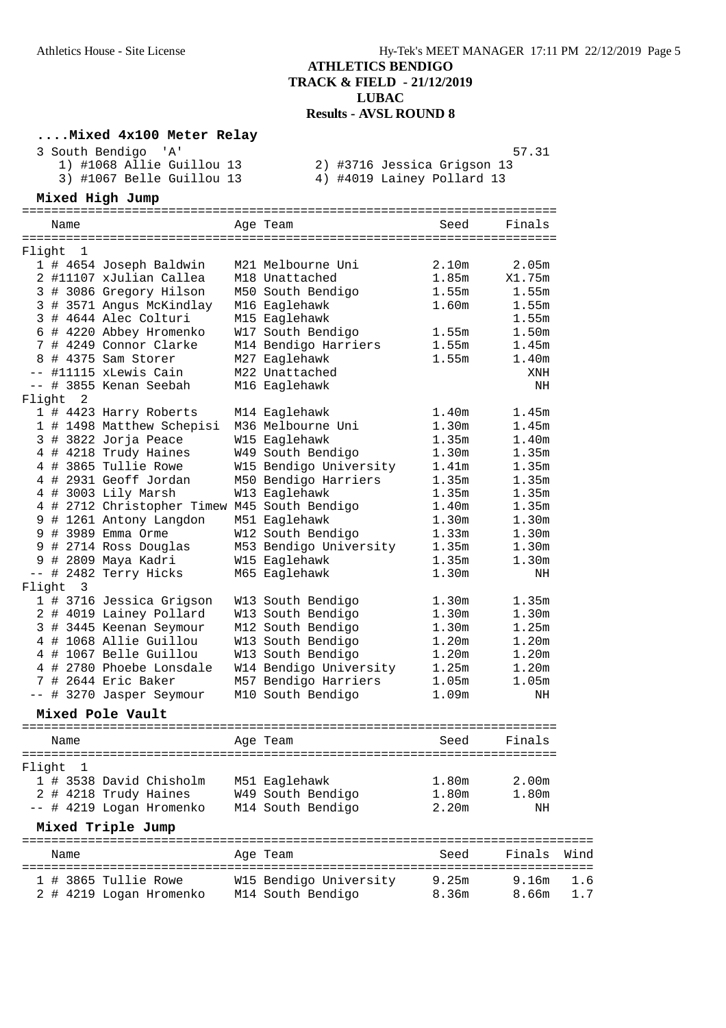### **....Mixed 4x100 Meter Relay**

| 3 South Bendigo 'A'       | 57.31                       |
|---------------------------|-----------------------------|
| 1) #1068 Allie Guillou 13 | 2) #3716 Jessica Grigson 13 |
| 3) #1067 Belle Guillou 13 | 4) #4019 Lainey Pollard 13  |

### **Mixed High Jump**

|                                                            | ===================================   |                   | <b>=======</b> |
|------------------------------------------------------------|---------------------------------------|-------------------|----------------|
| Name                                                       | Age Team                              | Seed              | Finals         |
| $\mathbf 1$<br>Flight                                      |                                       |                   |                |
| 1 # 4654 Joseph Baldwin                                    | M21 Melbourne Uni                     | 2.10m             | 2.05m          |
| 2 #11107 xJulian Callea                                    | M18 Unattached                        | 1.85m             | X1.75m         |
| 3 # 3086 Gregory Hilson                                    | M50 South Bendigo                     | 1.55m             | 1.55m          |
| 3 # 3571 Angus McKindlay                                   | M16 Eaglehawk                         | 1.60m             | 1.55m          |
| 3 # 4644 Alec Colturi                                      | M15 Eaglehawk                         |                   | 1.55m          |
| 6 # 4220 Abbey Hromenko                                    | W17 South Bendigo                     | 1.55m             | 1.50m          |
| 7 # 4249 Connor Clarke                                     | M14 Bendigo Harriers                  | 1.55m             | 1.45m          |
| 8 # 4375 Sam Storer                                        | M27 Eaglehawk                         | 1.55m             | 1.40m          |
| -- #11115 xLewis Cain                                      | M22 Unattached                        |                   | XNH            |
| -- # 3855 Kenan Seebah                                     | M16 Eaglehawk                         |                   | NH             |
| 2<br>Flight                                                |                                       |                   |                |
| 1 # 4423 Harry Roberts                                     | M14 Eaglehawk                         | 1.40m             | 1.45m          |
| 1 # 1498 Matthew Schepisi                                  | M36 Melbourne Uni                     | 1.30m             | 1.45m          |
| 3 # 3822 Jorja Peace                                       | W15 Eaglehawk                         | 1.35m             | 1.40m          |
| 4 # 4218 Trudy Haines                                      | W49 South Bendigo                     | 1.30m             | 1.35m          |
| 4 # 3865 Tullie Rowe                                       | W15 Bendigo University                | 1.41m             | 1.35m          |
| 4 # 2931 Geoff Jordan                                      | M50 Bendigo Harriers                  | 1.35m             | 1.35m          |
| 4 # 3003 Lily Marsh                                        | W13 Eaglehawk                         | 1.35m             | 1.35m          |
| 4 # 2712 Christopher Timew M45 South Bendigo               |                                       | $1.40m$           | 1.35m          |
| 9 # 1261 Antony Langdon                                    | M51 Eaglehawk                         | 1.30m             | 1.30m          |
| 9 # 3989 Emma Orme                                         | W12 South Bendigo                     | 1.33m             | 1.30m          |
|                                                            |                                       | 1.35m             |                |
| 9 # 2714 Ross Douglas                                      | M53 Bendigo University                |                   | 1.30m          |
| 9 # 2809 Maya Kadri<br>$ -$                                | W15 Eaglehawk                         | 1.35m             | 1.30m          |
| # 2482 Terry Hicks<br>Flight<br>$\overline{\phantom{a}}$ 3 | M65 Eaglehawk                         | 1.30m             | NH             |
|                                                            |                                       |                   |                |
| 1 # 3716 Jessica Grigson                                   | W13 South Bendigo                     | 1.30 <sub>m</sub> | 1.35m          |
| 2 # 4019 Lainey Pollard                                    | W13 South Bendigo                     | 1.30m             | 1.30m          |
| 3 # 3445 Keenan Seymour                                    | M12 South Bendigo                     | 1.30m             | 1.25m          |
| 4 # 1068 Allie Guillou                                     | W13 South Bendigo                     | 1.20 <sub>m</sub> | 1.20m          |
| 4 # 1067 Belle Guillou                                     | W13 South Bendigo                     | 1.20m             | 1.20m          |
| 4 # 2780 Phoebe Lonsdale                                   | W14 Bendigo University                | 1.25m             | 1.20m          |
| 7 # 2644 Eric Baker                                        | M57 Bendigo Harriers                  | 1.05m             | 1.05m          |
| -- # 3270 Jasper Seymour                                   | M10 South Bendigo                     | 1.09m             | NH             |
| Mixed Pole Vault                                           |                                       |                   |                |
|                                                            | ===================================== |                   | ========       |
| Name                                                       | Age Team                              | Seed              | Finals         |
|                                                            |                                       |                   |                |
| Flight<br>1                                                |                                       |                   |                |
| 1 # 3538 David Chisholm                                    | M51 Eaglehawk                         | 1.80m             | 2.00m          |
| 2 # 4218 Trudy Haines                                      | W49 South Bendigo                     | 1.80m             | 1.80m          |
| -- # 4219 Logan Hromenko                                   | M14 South Bendigo                     | 2.20 <sub>m</sub> | NH             |

### **Mixed Triple Jump**

| Name                    | Age Team               | Seed  | Finals Wind |     |
|-------------------------|------------------------|-------|-------------|-----|
| 1 # 3865 Tullie Rowe    | W15 Bendigo University | 9.25m | 9.16m       | 1.6 |
| 2 # 4219 Logan Hromenko | M14 South Bendigo      | 8.36m | 8.66m       | 1.7 |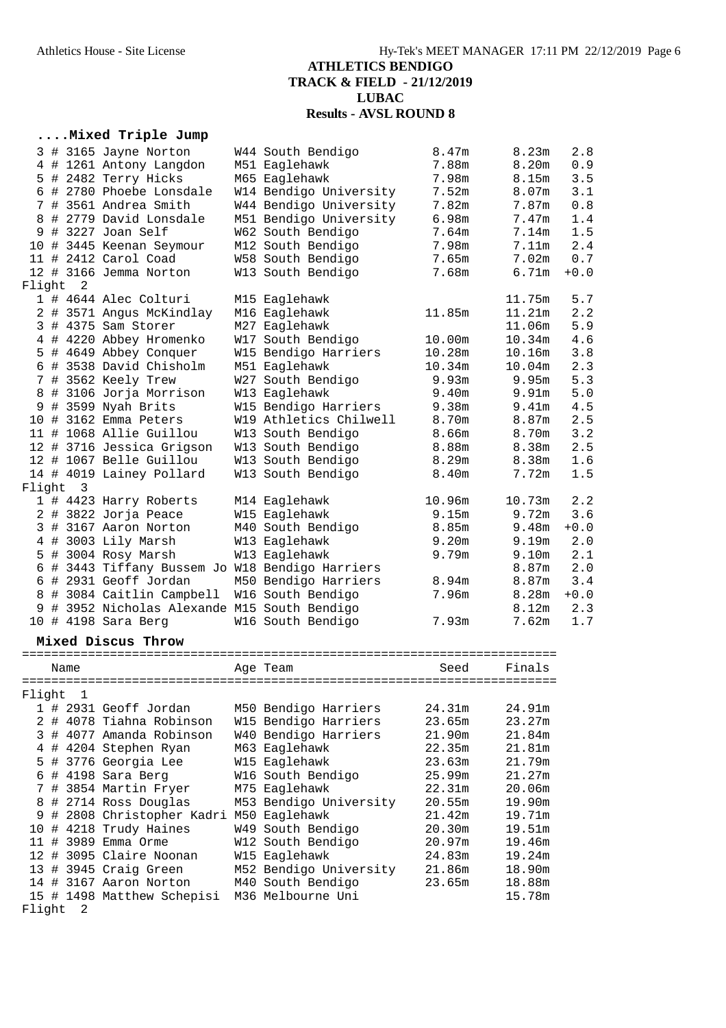#### **....Mixed Triple Jump**

|          |                            | 3 # 3165 Jayne Norton                           | W44 South Bendigo      | 8.47m             | 8.23m             | 2.8    |
|----------|----------------------------|-------------------------------------------------|------------------------|-------------------|-------------------|--------|
|          |                            | 4 # 1261 Antony Langdon                         | M51 Eaglehawk          | 7.88m             | 8.20 <sub>m</sub> | 0.9    |
|          |                            | 5 # 2482 Terry Hicks                            | M65 Eaglehawk          | 7.98m             | 8.15m             | 3.5    |
|          |                            | 6 # 2780 Phoebe Lonsdale                        | W14 Bendigo University | 7.52m             | 8.07m             | 3.1    |
|          |                            | 7 # 3561 Andrea Smith                           | W44 Bendigo University | 7.82m             | 7.87m             | 0.8    |
| 8        |                            | # 2779 David Lonsdale                           | M51 Bendigo University | 6.98m             | 7.47m             | 1.4    |
|          |                            | 9 # 3227 Joan Self                              | W62 South Bendigo      | 7.64m             | 7.14m             | 1.5    |
|          |                            | 10 # 3445 Keenan Seymour                        | M12 South Bendigo      | 7.98m             | 7.11m             | 2.4    |
|          |                            | 11 # 2412 Carol Coad                            | W58 South Bendigo      | 7.65m             | 7.02 <sub>m</sub> | 0.7    |
|          |                            | 12 # 3166 Jemma Norton                          | W13 South Bendigo      | 7.68m             | 6.71m             | $+0.0$ |
| Flight   | $\overline{\phantom{0}}^2$ |                                                 |                        |                   |                   |        |
|          |                            | 1 # 4644 Alec Colturi                           | M15 Eaglehawk          |                   | 11.75m            | 5.7    |
|          |                            | 2 # 3571 Angus McKindlay                        | M16 Eaglehawk          | 11.85m            | 11.21m            | 2.2    |
|          |                            | 3 # 4375 Sam Storer                             | M27 Eaglehawk          |                   | 11.06m            | 5.9    |
|          |                            | 4 # 4220 Abbey Hromenko                         | W17 South Bendigo      | 10.00m            | 10.34m            | 4.6    |
|          |                            | 5 # 4649 Abbey Conquer                          | W15 Bendigo Harriers   | 10.28m            | 10.16m            | 3.8    |
|          |                            | 6 # 3538 David Chisholm                         | M51 Eaglehawk          | 10.34m            | 10.04m            | 2.3    |
|          |                            | 7 # 3562 Keely Trew                             | W27 South Bendigo      | 9.93m             | 9.95m             | 5.3    |
|          |                            | 8 # 3106 Jorja Morrison                         | W13 Eaglehawk          | 9.40 <sub>m</sub> | 9.91 <sub>m</sub> | 5.0    |
|          |                            | 9 # 3599 Nyah Brits                             | W15 Bendigo Harriers   | 9.38m             | 9.41 <sub>m</sub> | 4.5    |
|          |                            | 10 # 3162 Emma Peters                           | W19 Athletics Chilwell | 8.70m             | 8.87m             | 2.5    |
|          |                            | 11 # 1068 Allie Guillou                         | W13 South Bendigo      | 8.66m             | 8.70m             | 3.2    |
|          |                            | 12 # 3716 Jessica Grigson                       | W13 South Bendigo      | 8.88m             | 8.38m             | 2.5    |
|          |                            | 12 # 1067 Belle Guillou                         | W13 South Bendigo      | 8.29m             | 8.38m             | 1.6    |
|          |                            | 14 # 4019 Lainey Pollard                        | W13 South Bendigo      | 8.40m             | 7.72m             | 1.5    |
| Flight 3 |                            |                                                 |                        |                   |                   |        |
|          |                            | 1 # 4423 Harry Roberts                          | M14 Eaglehawk          | 10.96m            | 10.73m            | 2.2    |
|          |                            | 2 # 3822 Jorja Peace                            | W15 Eaglehawk          | 9.15m             | 9.72m             | 3.6    |
|          |                            | 3 # 3167 Aaron Norton                           | M40 South Bendigo      | 8.85m             | 9.48m             | $+0.0$ |
|          |                            | 4 # 3003 Lily Marsh                             | W13 Eaglehawk          | 9.20m             | 9.19m             | 2.0    |
|          |                            | 5 # 3004 Rosy Marsh                             | W13 Eaglehawk          | 9.79m             | 9.10m             | 2.1    |
|          |                            | 6 # 3443 Tiffany Bussem Jo W18 Bendigo Harriers |                        |                   | 8.87m             | 2.0    |
|          |                            | 6 # 2931 Geoff Jordan                           | M50 Bendigo Harriers   | 8.94m             | 8.87m             | 3.4    |
|          |                            | 8 # 3084 Caitlin Campbell                       | W16 South Bendigo      | 7.96m             | 8.28m             | $+0.0$ |
| 9        |                            | # 3952 Nicholas Alexande M15 South Bendigo      |                        |                   | 8.12m             | 2.3    |
|          |                            | 10 # 4198 Sara Berg                             | W16 South Bendigo      | 7.93m             | 7.62m             | 1.7    |

#### **Mixed Discus Throw**

========================================================================= Name Age Team Seed Finals ========================================================================= Flight 1 1 # 2931 Geoff Jordan M50 Bendigo Harriers 24.31m 24.91m 2 # 4078 Tiahna Robinson W15 Bendigo Harriers 23.65m 23.27m 3 # 4077 Amanda Robinson W40 Bendigo Harriers 21.90m 21.84m 4 # 4204 Stephen Ryan M63 Eaglehawk 22.35m 21.81m 5 # 3776 Georgia Lee W15 Eaglehawk 23.63m 21.79m 6 # 4198 Sara Berg W16 South Bendigo 25.99m 21.27m 7 # 3854 Martin Fryer M75 Eaglehawk 22.31m 20.06m 8 # 2714 Ross Douglas M53 Bendigo University 20.55m 19.90m 9 # 2808 Christopher Kadri M50 Eaglehawk 21.42m 19.71m 10 # 4218 Trudy Haines W49 South Bendigo 20.30m 19.51m 11 # 3989 Emma Orme W12 South Bendigo 20.97m 19.46m 12 # 3095 Claire Noonan W15 Eaglehawk 24.83m 19.24m 13 # 3945 Craig Green M52 Bendigo University 21.86m 18.90m 14 # 3167 Aaron Norton M40 South Bendigo 23.65m 18.88m 15 # 1498 Matthew Schepisi M36 Melbourne Uni 15.78m Flight 2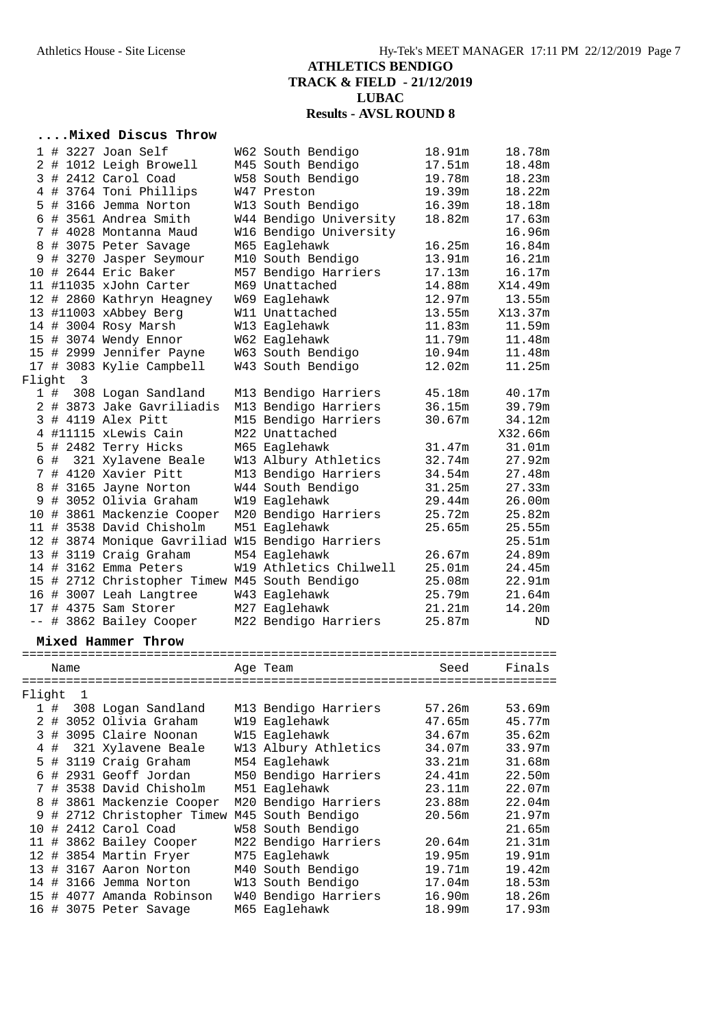### **....Mixed Discus Throw**

|   |          |   | 1 # 3227 Joan Self                               | W62 South Bendigo      | 18.91m | 18.78m  |
|---|----------|---|--------------------------------------------------|------------------------|--------|---------|
|   |          |   | 2 # 1012 Leigh Browell                           | M45 South Bendigo      | 17.51m | 18.48m  |
|   |          |   | 3 # 2412 Carol Coad                              | W58 South Bendigo      | 19.78m | 18.23m  |
|   |          |   | 4 # 3764 Toni Phillips                           | W47 Preston            | 19.39m | 18.22m  |
|   |          |   | 5 # 3166 Jemma Norton                            | W13 South Bendigo      | 16.39m | 18.18m  |
|   |          |   | 6 # 3561 Andrea Smith                            | W44 Bendigo University | 18.82m | 17.63m  |
|   |          |   | 7 # 4028 Montanna Maud                           | W16 Bendigo University |        | 16.96m  |
|   |          |   | 8 # 3075 Peter Savage                            | M65 Eaglehawk          | 16.25m | 16.84m  |
|   |          |   | 9 # 3270 Jasper Seymour                          | M10 South Bendigo      | 13.91m | 16.21m  |
|   |          |   | 10 # 2644 Eric Baker                             | M57 Bendigo Harriers   | 17.13m | 16.17m  |
|   |          |   | 11 #11035 xJohn Carter                           | M69 Unattached         | 14.88m | X14.49m |
|   |          |   | 12 # 2860 Kathryn Heagney                        | W69 Eaglehawk          | 12.97m | 13.55m  |
|   |          |   | 13 #11003 xAbbey Berg                            | W11 Unattached         | 13.55m | X13.37m |
|   |          |   | 14 # 3004 Rosy Marsh                             | W13 Eaglehawk          | 11.83m | 11.59m  |
|   |          |   | 15 # 3074 Wendy Ennor                            | W62 Eaglehawk          | 11.79m | 11.48m  |
|   |          |   | 15 # 2999 Jennifer Payne                         | W63 South Bendigo      | 10.94m | 11.48m  |
|   |          |   | 17 # 3083 Kylie Campbell                         | W43 South Bendigo      | 12.02m | 11.25m  |
|   | Flight   | 3 |                                                  |                        |        |         |
|   |          |   | 1 # 308 Logan Sandland                           | M13 Bendigo Harriers   | 45.18m | 40.17m  |
|   |          |   | 2 # 3873 Jake Gavriliadis                        | M13 Bendigo Harriers   | 36.15m | 39.79m  |
|   |          |   | 3 # 4119 Alex Pitt                               | M15 Bendigo Harriers   | 30.67m | 34.12m  |
|   |          |   | 4 #11115 xLewis Cain                             | M22 Unattached         |        | X32.66m |
|   |          |   | 5 # 2482 Terry Hicks                             | M65 Eaglehawk          | 31.47m | 31.01m  |
|   |          |   | 6 # 321 Xylavene Beale                           | W13 Albury Athletics   | 32.74m | 27.92m  |
|   |          |   | 7 # 4120 Xavier Pitt                             | M13 Bendigo Harriers   | 34.54m | 27.48m  |
|   |          |   | 8 # 3165 Jayne Norton                            | W44 South Bendigo      | 31.25m | 27.33m  |
|   |          |   | 9 # 3052 Olivia Graham                           | W19 Eaglehawk          | 29.44m | 26.00m  |
|   |          |   | 10 # 3861 Mackenzie Cooper                       | M20 Bendigo Harriers   | 25.72m | 25.82m  |
|   |          |   | 11 # 3538 David Chisholm                         | M51 Eaglehawk          | 25.65m | 25.55m  |
|   |          |   | 12 # 3874 Monique Gavriliad W15 Bendigo Harriers |                        |        | 25.51m  |
|   |          |   | 13 # 3119 Craig Graham                           | M54 Eaglehawk          | 26.67m | 24.89m  |
|   |          |   | 14 # 3162 Emma Peters                            | W19 Athletics Chilwell | 25.01m | 24.45m  |
|   |          |   | 15 # 2712 Christopher Timew M45 South Bendigo    |                        | 25.08m | 22.91m  |
|   |          |   | 16 # 3007 Leah Langtree                          | W43 Eaglehawk          | 25.79m | 21.64m  |
|   |          |   | 17 # 4375 Sam Storer                             | M27 Eaglehawk          | 21.21m | 14.20m  |
|   |          |   | -- # 3862 Bailey Cooper                          | M22 Bendigo Harriers   | 25.87m | ND      |
|   |          |   |                                                  |                        |        |         |
|   |          |   | Mixed Hammer Throw                               |                        |        |         |
|   | Name     |   |                                                  | Age Team               | Seed   | Finals  |
|   |          |   |                                                  |                        |        |         |
|   | Flight 1 |   |                                                  |                        |        |         |
|   | 1#       |   | 308 Logan Sandland                               | M13 Bendigo Harriers   | 57.26m | 53.69m  |
|   |          |   | 2 # 3052 Olivia Graham                           | W19 Eaglehawk          | 47.65m | 45.77m  |
| 3 |          |   | # 3095 Claire Noonan                             | W15 Eaglehawk          | 34.67m | 35.62m  |
| 4 | #        |   | 321 Xylavene Beale                               | W13 Albury Athletics   | 34.07m | 33.97m  |
| 5 | $\#$     |   | 3119 Craig Graham                                | M54 Eaglehawk          | 33.21m | 31.68m  |
| 6 |          |   | # 2931 Geoff Jordan                              | M50 Bendigo Harriers   | 24.41m | 22.50m  |
| 7 |          |   | # 3538 David Chisholm                            | M51 Eaglehawk          | 23.11m | 22.07m  |
| 8 |          |   | # 3861 Mackenzie Cooper                          | M20 Bendigo Harriers   | 23.88m | 22.04m  |
| 9 |          |   | # 2712 Christopher Timew M45 South Bendigo       |                        | 20.56m | 21.97m  |
|   |          |   | 10 # 2412 Carol Coad                             | W58 South Bendigo      |        | 21.65m  |
|   |          |   | 11 # 3862 Bailey Cooper                          | M22 Bendigo Harriers   | 20.64m | 21.31m  |
|   |          |   | 12 # 3854 Martin Fryer                           | M75 Eaglehawk          | 19.95m | 19.91m  |
|   |          |   | 13 # 3167 Aaron Norton                           | M40 South Bendigo      | 19.71m | 19.42m  |
|   |          |   | 14 # 3166 Jemma Norton                           | W13 South Bendigo      | 17.04m | 18.53m  |
|   |          |   | 15 # 4077 Amanda Robinson                        | W40 Bendigo Harriers   | 16.90m | 18.26m  |
|   |          |   | 16 # 3075 Peter Savage                           | M65 Eaglehawk          | 18.99m | 17.93m  |
|   |          |   |                                                  |                        |        |         |